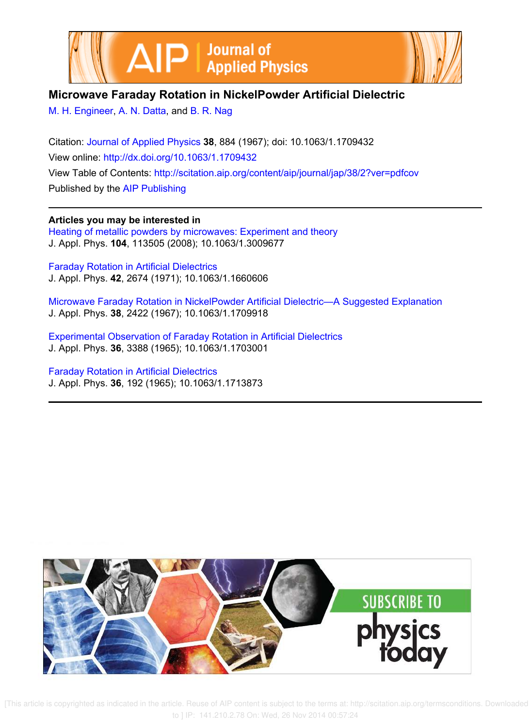



## **Microwave Faraday Rotation in NickelPowder Artificial Dielectric**

M. H. Engineer, A. N. Datta, and B. R. Nag

Citation: Journal of Applied Physics **38**, 884 (1967); doi: 10.1063/1.1709432 View online: http://dx.doi.org/10.1063/1.1709432 View Table of Contents: http://scitation.aip.org/content/aip/journal/jap/38/2?ver=pdfcov Published by the AIP Publishing

**Articles you may be interested in** Heating of metallic powders by microwaves: Experiment and theory J. Appl. Phys. **104**, 113505 (2008); 10.1063/1.3009677

Faraday Rotation in Artificial Dielectrics J. Appl. Phys. **42**, 2674 (1971); 10.1063/1.1660606

Microwave Faraday Rotation in NickelPowder Artificial Dielectric—A Suggested Explanation J. Appl. Phys. **38**, 2422 (1967); 10.1063/1.1709918

Experimental Observation of Faraday Rotation in Artificial Dielectrics J. Appl. Phys. **36**, 3388 (1965); 10.1063/1.1703001

Faraday Rotation in Artificial Dielectrics J. Appl. Phys. **36**, 192 (1965); 10.1063/1.1713873



 [This article is copyrighted as indicated in the article. Reuse of AIP content is subject to the terms at: http://scitation.aip.org/termsconditions. Downloaded to ] IP: 141.210.2.78 On: Wed, 26 Nov 2014 00:57:24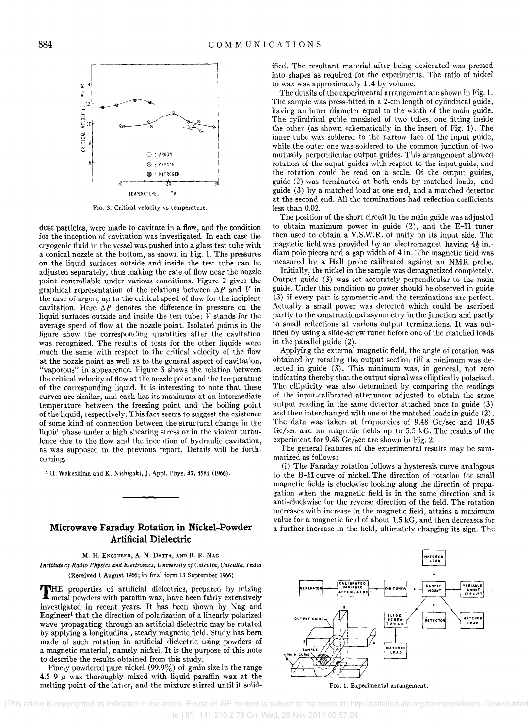

FIG. 3. Critical velocity vs temperature.

dust particles, were made to cavitate in a flow, and the condition for the inception of cavitation was investigated. In each case the cryogenic fluid in the vessel was pushed into a glass test tube with a conical nozzle at the bottom, as shown in Fig. 1. The pressures on the liquid surfaces outside and inside the test tube can be adjusted separately, thus making the rate of flow near the nozzle point controllable under various conditions. Figure 2 gives the graphical representation of the relations between *AP* and *V* in the case of argon, up to the critical speed of flow for the incipient cavitation. Here  $\Delta P$  denotes the difference in pressure on the liquid surfaces outside and inside the test tube;  $\dot{V}$  stands for the average speed of flow at the nozzle point. Isolated points in the figure show the corresponding quantities after the cavitation was recognized. The results of tests for the other liquids were much the same with respect to the critical velocity of the flow at the nozzle point as well as to the general aspect of cavitation, "vaporous" in appearence. Figure 3 shows the relation between the critical velocity of flow at the nozzle point and the temperature of the corresponding liquid. It is interesting to note that these curves are similar, and each has its maximum at an intermediate temperature between the freezing point and the boiling point of the liquid, respectively. This fact seems to suggest the existence of some kind of connection between the structural change in the liquid phase under a high shearing stress or in the violent turbulence due to the flow and the inception of hydraulic cavitation, as was supposed in the previous report. Details will be forthcoming.

<sup>1</sup>H. Wakeshima and K. Nishigaki, J. Appl. Phys. 37, 4584 (1966).

## **Microwave Faraday Rotation in Nickel-Powder Artificial Dielectric**

M. H. ENGINEER, A. N. DATTA, AND B. R. NAG *I nstilute oj Radio Physics and Electronics, University oj Calcutta, Calcutta, India*  (Received 1 August 1966; in final form 13 September 1966)

THE properties of artificial dielectrics, prepared by mixing metal powders with paraffin wax, have been fairly extensively investigated in recent years. It has been shown by Nag and Engineer<sup>1</sup> that the direction of polarization of a linearly polarized wave propagating through an artificial dielectric may be rotated by applying a longitudinal, steady magnetic field. Study has been made of such rotation in artificial dielectric using powders of a magnetic material, namely nickel. It is the purpose of this note to describe the results obtained from this study.

Finely powdered pure nickel  $(99.9\%)$  of grain size in the range 4.5-9  $\mu$  was thoroughly mixed with liquid paraffin wax at the melting point of the latter, and the mixture stirred until it solidified. The resultant material after being desiccated was pressed into shapes as required for the experiments. The ratio of nickel to wax was approximately 1:4 by volume.

The details of the experimental arrangement are shown in Fig. 1. The sample was press-fitted in a 2-cm length of cylindrical guide, having an inner diameter equal to the width of the main guide. The cylindrical guide consisted of two tubes, one fitting inside the other (as shown schematically in the insert of Fig. 1). The inner tube was soldered to the narrow face of the input guide, while the outer one was soldered to the common junction of two mutually perpendicular output guides. This arrangement allowed rotation of the ouput guides with respect to the input guide, and the rotation could be read on a scale. Of the output guides, guide (2) was terminated at both ends by matched loads, and guide (3) by a matched load at one end, and a matched detector at the second end. All the terminations had reflection coefficients less than 0.02.

The position of the short circuit in the main guide was adjusted to obtain maximum power in guide (2), and the E-H tuner then used to obtain a V.S.W.R. of unity on its input side. The magnetic field was provided by an electromagnet having  $4\frac{1}{2}$ -in.diam pole pieces and a gap width of 4 in. The magnetic field was measured by a Hall probe calibrated against an NMR probe.

Initially, the nickel in the sample was demagnetized completely. Output guide (3) was set accurately perpendicular to the main guide. Under this condition no power should be observed in guide (3) if every part is symmetric .and the terminations are perfect. Actually a small power was detected which could be ascribed partly to the constructional asymmetry in the junction and partly to small reflections at various output terminations. It was nullified by using a slide-screw tuner before one of the matched loads in the parallel guide (2).

Applying the external magnetic field, the angle of rotation was obtained by rotating the output section till a minimum was detected in guide (3). This minimum was, in general, not zero indicating thereby that the output signal was elliptically polarized. The ellipticity was also determined by comparing the readings of the input-calibrated attenuator adjusted to obtain the same output reading in the same detector attached once to guide (3) and then interchanged with one of the matched loads in guide (2). The data was taken at frequencies of 9.48 Gc/sec and 10.45 Gc/sec and for magnetic fields up to 5.5 kG. The results of the experiment for 9.48 Gc/sec are shown in Fig. 2.

The general features of the experimental results may be summarized as follows:

(i) The Faraday rotation follows a hysteresis curve analogous to the B-H curve of nickel. The direction of rotation for small magnetic fields is clockwise looking along the directin of propagation when the magnetic field is in the same direction and is anti-clockwise for the reverse direction of the field. The rotation increases with increase in the magnetic field, attains a maximum value for a magnetic field of about 1.5 kG, and then decreases for a further increase in the field, ultimately changing its sign. The



FIG. 1. Experimental arrangement.